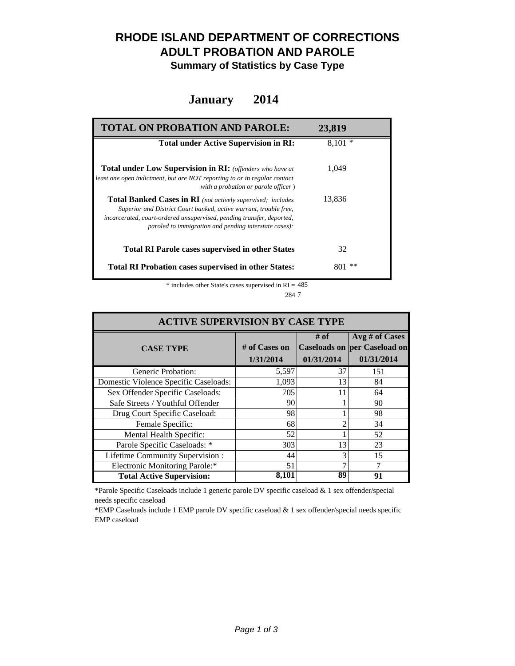### **RHODE ISLAND DEPARTMENT OF CORRECTIONS ADULT PROBATION AND PAROLE**

**Summary of Statistics by Case Type**

#### **January 2014**

| <b>TOTAL ON PROBATION AND PAROLE:</b>                                                                                                                                                                                                                              | 23,819    |
|--------------------------------------------------------------------------------------------------------------------------------------------------------------------------------------------------------------------------------------------------------------------|-----------|
| <b>Total under Active Supervision in RI:</b>                                                                                                                                                                                                                       | $8,101*$  |
| <b>Total under Low Supervision in RI:</b> (offenders who have at<br>least one open indictment, but are NOT reporting to or in regular contact<br>with a probation or parole officer)                                                                               | 1.049     |
| Total Banked Cases in RI (not actively supervised; includes<br>Superior and District Court banked, active warrant, trouble free,<br>incarcerated, court-ordered unsupervised, pending transfer, deported,<br>paroled to immigration and pending interstate cases): | 13,836    |
| <b>Total RI Parole cases supervised in other States</b>                                                                                                                                                                                                            | 32        |
| <b>Total RI Probation cases supervised in other States:</b>                                                                                                                                                                                                        | **<br>801 |

 $*$  includes other State's cases supervised in RI = 485 7 284

| <b>ACTIVE SUPERVISION BY CASE TYPE</b> |                              |                    |                                                                     |  |  |
|----------------------------------------|------------------------------|--------------------|---------------------------------------------------------------------|--|--|
| <b>CASE TYPE</b>                       | $#$ of Cases on<br>1/31/2014 | # of<br>01/31/2014 | Avg # of Cases<br><b>Caseloads on per Caseload on</b><br>01/31/2014 |  |  |
| Generic Probation:                     | 5,597                        | 37                 | 151                                                                 |  |  |
| Domestic Violence Specific Caseloads:  | 1,093                        | 13                 | 84                                                                  |  |  |
| Sex Offender Specific Caseloads:       | 705                          | 11                 | 64                                                                  |  |  |
| Safe Streets / Youthful Offender       | 90                           |                    | 90                                                                  |  |  |
| Drug Court Specific Caseload:          | 98                           |                    | 98                                                                  |  |  |
| Female Specific:                       | 68                           |                    | 34                                                                  |  |  |
| Mental Health Specific:                | 52                           |                    | 52                                                                  |  |  |
| Parole Specific Caseloads: *           | 303                          | 13                 | 23                                                                  |  |  |
| Lifetime Community Supervision:        | 44                           |                    | 15                                                                  |  |  |
| <b>Electronic Monitoring Parole:*</b>  | 51                           |                    |                                                                     |  |  |
| <b>Total Active Supervision:</b>       | 8,101                        | 89                 | 91                                                                  |  |  |

\*Parole Specific Caseloads include 1 generic parole DV specific caseload & 1 sex offender/special needs specific caseload

\*EMP Caseloads include 1 EMP parole DV specific caseload & 1 sex offender/special needs specific EMP caseload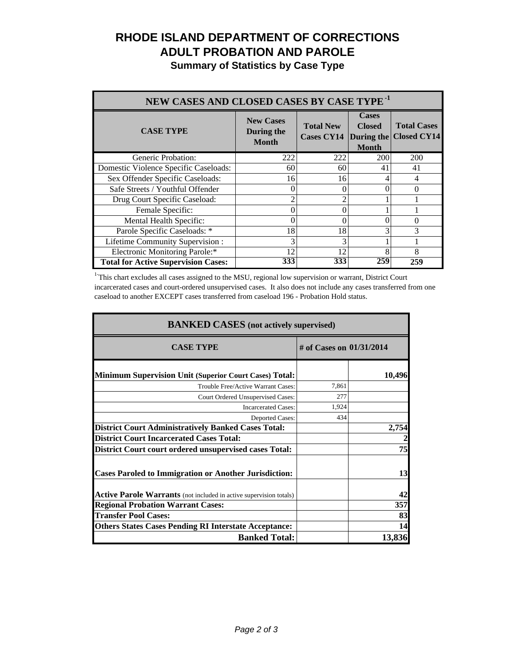# **RHODE ISLAND DEPARTMENT OF CORRECTIONS ADULT PROBATION AND PAROLE**

**Summary of Statistics by Case Type**

| NEW CASES AND CLOSED CASES BY CASE TYPE <sup>-1</sup> |                                                |                                                  |                                               |                                          |  |
|-------------------------------------------------------|------------------------------------------------|--------------------------------------------------|-----------------------------------------------|------------------------------------------|--|
| <b>CASE TYPE</b>                                      | <b>New Cases</b><br>During the<br><b>Month</b> | <b>Total New</b><br><b>Cases CY14</b> During the | <b>Cases</b><br><b>Closed</b><br><b>Month</b> | <b>Total Cases</b><br><b>Closed CY14</b> |  |
| Generic Probation:                                    | 222                                            | 222                                              | <b>200</b>                                    | 200                                      |  |
| Domestic Violence Specific Caseloads:                 | 60                                             | 60                                               | 41                                            | 41                                       |  |
| Sex Offender Specific Caseloads:                      | 16                                             | 16                                               |                                               |                                          |  |
| Safe Streets / Youthful Offender                      |                                                |                                                  |                                               |                                          |  |
| Drug Court Specific Caseload:                         | ◠                                              |                                                  |                                               |                                          |  |
| Female Specific:                                      | 0                                              |                                                  |                                               |                                          |  |
| Mental Health Specific:                               | 0                                              | 0                                                |                                               |                                          |  |
| Parole Specific Caseloads: *                          | 18                                             | 18                                               |                                               | 3                                        |  |
| Lifetime Community Supervision:                       | 3                                              |                                                  |                                               |                                          |  |
| Electronic Monitoring Parole:*                        | 12                                             | 12                                               | 8                                             | 8                                        |  |
| <b>Total for Active Supervision Cases:</b>            | 333                                            | 333                                              | 259                                           | 259                                      |  |

<sup>1</sup>This chart excludes all cases assigned to the MSU, regional low supervision or warrant, District Court incarcerated cases and court-ordered unsupervised cases. It also does not include any cases transferred from one caseload to another EXCEPT cases transferred from caseload 196 - Probation Hold status.

| <b>BANKED CASES</b> (not actively supervised)                      |                          |        |  |
|--------------------------------------------------------------------|--------------------------|--------|--|
| <b>CASE TYPE</b>                                                   | # of Cases on 01/31/2014 |        |  |
| <b>Minimum Supervision Unit (Superior Court Cases) Total:</b>      |                          | 10,496 |  |
| Trouble Free/Active Warrant Cases:                                 | 7,861                    |        |  |
| Court Ordered Unsupervised Cases:                                  | 277                      |        |  |
| <b>Incarcerated Cases:</b>                                         | 1,924                    |        |  |
| Deported Cases:                                                    | 434                      |        |  |
| <b>District Court Administratively Banked Cases Total:</b>         |                          | 2,754  |  |
| <b>District Court Incarcerated Cases Total:</b>                    |                          |        |  |
| <b>District Court court ordered unsupervised cases Total:</b>      |                          | 75     |  |
| <b>Cases Paroled to Immigration or Another Jurisdiction:</b>       |                          | 13     |  |
| Active Parole Warrants (not included in active supervision totals) |                          | 42     |  |
| <b>Regional Probation Warrant Cases:</b>                           |                          | 357    |  |
| <b>Transfer Pool Cases:</b>                                        |                          | 83     |  |
| <b>Others States Cases Pending RI Interstate Acceptance:</b>       |                          | 14     |  |
| <b>Banked Total:</b>                                               |                          | 13,836 |  |